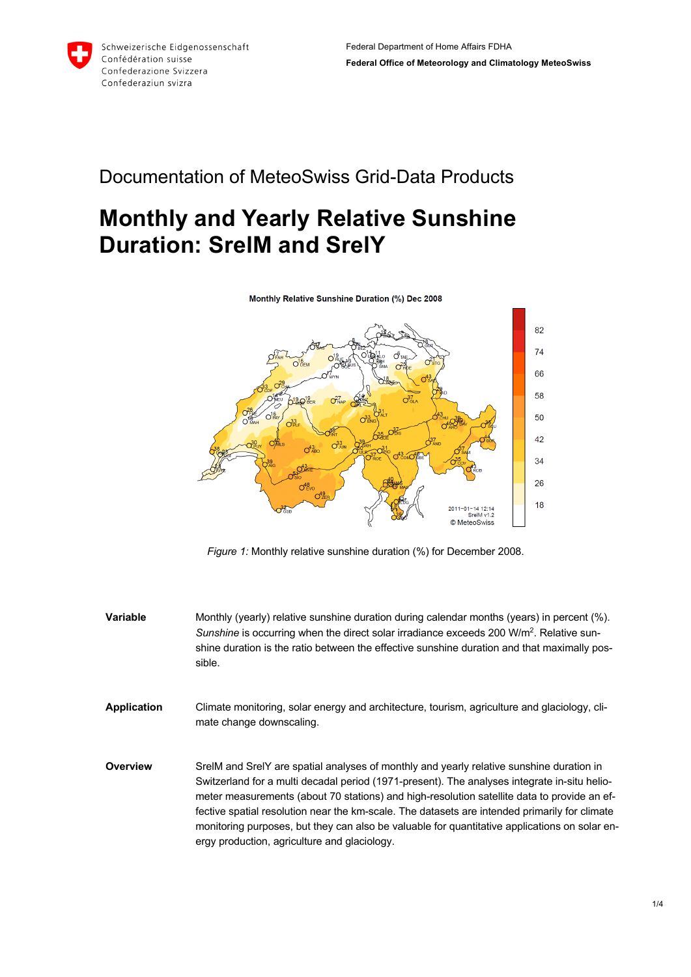

## Documentation of MeteoSwiss Grid-Data Products

## **Monthly and Yearly Relative Sunshine Duration: SrelM and SrelY**

Monthly Relative Sunshine Duration (%) Dec 2008



*Figure 1:* Monthly relative sunshine duration (%) for December 2008.

- **Variable** Monthly (yearly) relative sunshine duration during calendar months (years) in percent (%). Sunshine is occurring when the direct solar irradiance exceeds 200 W/m<sup>2</sup>. Relative sunshine duration is the ratio between the effective sunshine duration and that maximally possible.
- **Application** Climate monitoring, solar energy and architecture, tourism, agriculture and glaciology, climate change downscaling.
- **Overview** SrelM and SrelY are spatial analyses of monthly and yearly relative sunshine duration in Switzerland for a multi decadal period (1971-present). The analyses integrate in-situ heliometer measurements (about 70 stations) and high-resolution satellite data to provide an effective spatial resolution near the km-scale. The datasets are intended primarily for climate monitoring purposes, but they can also be valuable for quantitative applications on solar energy production, agriculture and glaciology.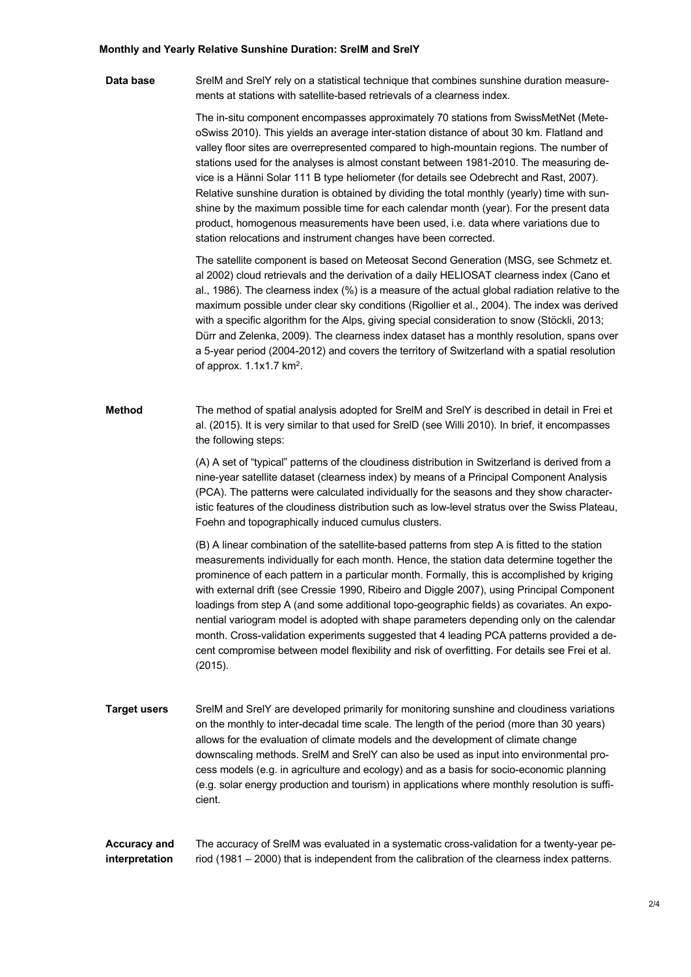## **Monthly and Yearly Relative Sunshine Duration: SrelM and SrelY**

**Data base** SrelM and SrelY rely on a statistical technique that combines sunshine duration measurements at stations with satellite-based retrievals of a clearness index.

> The in-situ component encompasses approximately 70 stations from SwissMetNet (MeteoSwiss 2010). This yields an average inter-station distance of about 30 km. Flatland and valley floor sites are overrepresented compared to high-mountain regions. The number of stations used for the analyses is almost constant between 1981-2010. The measuring device is a Hänni Solar 111 B type heliometer (for details see Odebrecht and Rast, 2007). Relative sunshine duration is obtained by dividing the total monthly (yearly) time with sunshine by the maximum possible time for each calendar month (year). For the present data product, homogenous measurements have been used, i.e. data where variations due to station relocations and instrument changes have been corrected.

The satellite component is based on Meteosat Second Generation (MSG, see Schmetz et. al 2002) cloud retrievals and the derivation of a daily HELIOSAT clearness index (Cano et al., 1986). The clearness index (%) is a measure of the actual global radiation relative to the maximum possible under clear sky conditions (Rigollier et al., 2004). The index was derived with a specific algorithm for the Alps, giving special consideration to snow (Stöckli, 2013; Dürr and Zelenka, 2009). The clearness index dataset has a monthly resolution, spans over a 5-year period (2004-2012) and covers the territory of Switzerland with a spatial resolution of approx. 1.1x1.7 km2.

**Method** The method of spatial analysis adopted for SrelM and SrelY is described in detail in Frei et al. (2015). It is very similar to that used for SrelD (see Willi 2010). In brief, it encompasses the following steps:

> (A) A set of "typical" patterns of the cloudiness distribution in Switzerland is derived from a nine-year satellite dataset (clearness index) by means of a Principal Component Analysis (PCA). The patterns were calculated individually for the seasons and they show characteristic features of the cloudiness distribution such as low-level stratus over the Swiss Plateau, Foehn and topographically induced cumulus clusters.

> (B) A linear combination of the satellite-based patterns from step A is fitted to the station measurements individually for each month. Hence, the station data determine together the prominence of each pattern in a particular month. Formally, this is accomplished by kriging with external drift (see Cressie 1990, Ribeiro and Diggle 2007), using Principal Component loadings from step A (and some additional topo-geographic fields) as covariates. An exponential variogram model is adopted with shape parameters depending only on the calendar month. Cross-validation experiments suggested that 4 leading PCA patterns provided a decent compromise between model flexibility and risk of overfitting. For details see Frei et al. (2015).

**Target users** SrelM and SrelY are developed primarily for monitoring sunshine and cloudiness variations on the monthly to inter-decadal time scale. The length of the period (more than 30 years) allows for the evaluation of climate models and the development of climate change downscaling methods. SrelM and SrelY can also be used as input into environmental process models (e.g. in agriculture and ecology) and as a basis for socio-economic planning (e.g. solar energy production and tourism) in applications where monthly resolution is sufficient.

**Accuracy and interpretation** The accuracy of SrelM was evaluated in a systematic cross-validation for a twenty-year period (1981 – 2000) that is independent from the calibration of the clearness index patterns.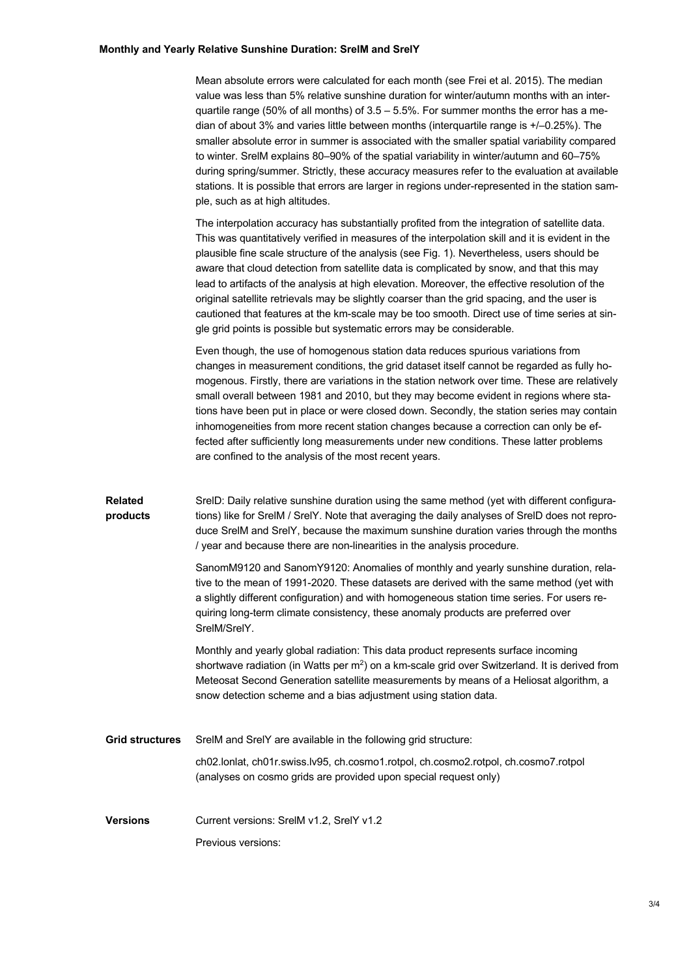## **Monthly and Yearly Relative Sunshine Duration: SrelM and SrelY**

Mean absolute errors were calculated for each month (see Frei et al. 2015). The median value was less than 5% relative sunshine duration for winter/autumn months with an interquartile range (50% of all months) of  $3.5 - 5.5$ %. For summer months the error has a median of about 3% and varies little between months (interquartile range is +/–0.25%). The smaller absolute error in summer is associated with the smaller spatial variability compared to winter. SrelM explains 80–90% of the spatial variability in winter/autumn and 60–75% during spring/summer. Strictly, these accuracy measures refer to the evaluation at available stations. It is possible that errors are larger in regions under-represented in the station sample, such as at high altitudes.

The interpolation accuracy has substantially profited from the integration of satellite data. This was quantitatively verified in measures of the interpolation skill and it is evident in the plausible fine scale structure of the analysis (see Fig. 1). Nevertheless, users should be aware that cloud detection from satellite data is complicated by snow, and that this may lead to artifacts of the analysis at high elevation. Moreover, the effective resolution of the original satellite retrievals may be slightly coarser than the grid spacing, and the user is cautioned that features at the km-scale may be too smooth. Direct use of time series at single grid points is possible but systematic errors may be considerable.

Even though, the use of homogenous station data reduces spurious variations from changes in measurement conditions, the grid dataset itself cannot be regarded as fully homogenous. Firstly, there are variations in the station network over time. These are relatively small overall between 1981 and 2010, but they may become evident in regions where stations have been put in place or were closed down. Secondly, the station series may contain inhomogeneities from more recent station changes because a correction can only be effected after sufficiently long measurements under new conditions. These latter problems are confined to the analysis of the most recent years.

| <b>Related</b> | SrelD: Daily relative sunshine duration using the same method (yet with different configura-   |
|----------------|------------------------------------------------------------------------------------------------|
| products       | tions) like for SrelM / SrelY. Note that averaging the daily analyses of SrelD does not repro- |
|                | duce SrelM and SrelY, because the maximum sunshine duration varies through the months          |
|                | / vear and because there are non-linearities in the analysis procedure.                        |

SanomM9120 and SanomY9120: Anomalies of monthly and yearly sunshine duration, relative to the mean of 1991-2020. These datasets are derived with the same method (yet with a slightly different configuration) and with homogeneous station time series. For users requiring long-term climate consistency, these anomaly products are preferred over SrelM/SrelY.

Monthly and yearly global radiation: This data product represents surface incoming shortwave radiation (in Watts per m<sup>2</sup>) on a km-scale grid over Switzerland. It is derived from Meteosat Second Generation satellite measurements by means of a Heliosat algorithm, a snow detection scheme and a bias adjustment using station data.

| Grid structures | SrelM and SrelY are available in the following grid structure:                                                                                          |
|-----------------|---------------------------------------------------------------------------------------------------------------------------------------------------------|
|                 | ch02.lonlat, ch01r.swiss.lv95, ch.cosmo1.rotpol, ch.cosmo2.rotpol, ch.cosmo7.rotpol<br>(analyses on cosmo grids are provided upon special request only) |
|                 |                                                                                                                                                         |

**Versions** Current versions: SrelM v1.2, SrelY v1.2 Previous versions: